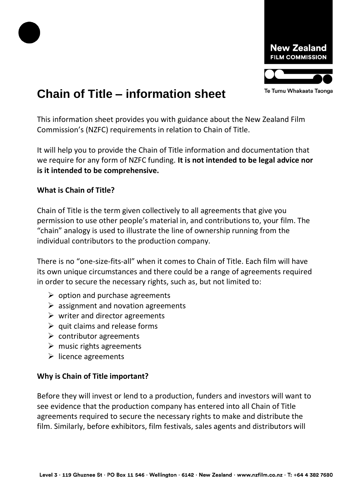



# **Chain of Title – information sheet**

This information sheet provides you with guidance about the New Zealand Film Commission's (NZFC) requirements in relation to Chain of Title.

It will help you to provide the Chain of Title information and documentation that we require for any form of NZFC funding. **It is not intended to be legal advice nor is it intended to be comprehensive.** 

### **What is Chain of Title?**

Chain of Title is the term given collectively to all agreements that give you permission to use other people's material in, and contributions to, your film. The "chain" analogy is used to illustrate the line of ownership running from the individual contributors to the production company.

There is no "one-size-fits-all" when it comes to Chain of Title. Each film will have its own unique circumstances and there could be a range of agreements required in order to secure the necessary rights, such as, but not limited to:

- $\triangleright$  option and purchase agreements
- $\triangleright$  assignment and novation agreements
- $\triangleright$  writer and director agreements
- $\triangleright$  quit claims and release forms
- $\triangleright$  contributor agreements
- $\triangleright$  music rights agreements
- $\triangleright$  licence agreements

# **Why is Chain of Title important?**

Before they will invest or lend to a production, funders and investors will want to see evidence that the production company has entered into all Chain of Title agreements required to secure the necessary rights to make and distribute the film. Similarly, before exhibitors, film festivals, sales agents and distributors will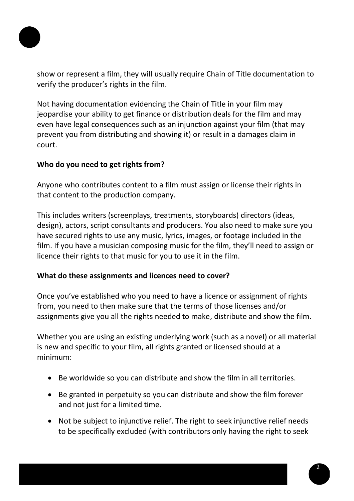

show or represent a film, they will usually require Chain of Title documentation to verify the producer's rights in the film.

Not having documentation evidencing the Chain of Title in your film may jeopardise your ability to get finance or distribution deals for the film and may even have legal consequences such as an injunction against your film (that may prevent you from distributing and showing it) or result in a damages claim in court.

### **Who do you need to get rights from?**

Anyone who contributes content to a film must assign or license their rights in that content to the production company.

This includes writers (screenplays, treatments, storyboards) directors (ideas, design), actors, script consultants and producers. You also need to make sure you have secured rights to use any music, lyrics, images, or footage included in the film. If you have a musician composing music for the film, they'll need to assign or licence their rights to that music for you to use it in the film.

# **What do these assignments and licences need to cover?**

Once you've established who you need to have a licence or assignment of rights from, you need to then make sure that the terms of those licenses and/or assignments give you all the rights needed to make, distribute and show the film.

Whether you are using an existing underlying work (such as a novel) or all material is new and specific to your film, all rights granted or licensed should at a minimum:

- Be worldwide so you can distribute and show the film in all territories.
- Be granted in perpetuity so you can distribute and show the film forever and not just for a limited time.
- Not be subject to injunctive relief. The right to seek injunctive relief needs to be specifically excluded (with contributors only having the right to seek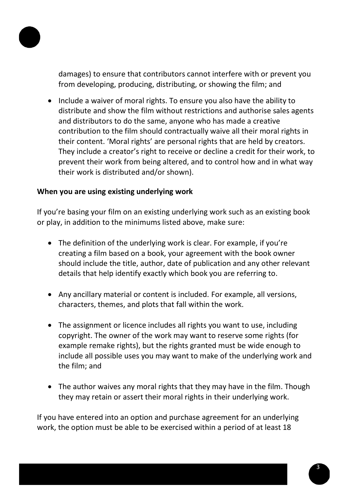

damages) to ensure that contributors cannot interfere with or prevent you from developing, producing, distributing, or showing the film; and

• Include a waiver of moral rights. To ensure you also have the ability to distribute and show the film without restrictions and authorise sales agents and distributors to do the same, anyone who has made a creative contribution to the film should contractually waive all their moral rights in their content. 'Moral rights' are personal rights that are held by creators. They include a creator's right to receive or decline a credit for their work, to prevent their work from being altered, and to control how and in what way their work is distributed and/or shown).

#### **When you are using existing underlying work**

If you're basing your film on an existing underlying work such as an existing book or play, in addition to the minimums listed above, make sure:

- The definition of the underlying work is clear. For example, if you're creating a film based on a book, your agreement with the book owner should include the title, author, date of publication and any other relevant details that help identify exactly which book you are referring to.
- Any ancillary material or content is included. For example, all versions, characters, themes, and plots that fall within the work.
- The assignment or licence includes all rights you want to use, including copyright. The owner of the work may want to reserve some rights (for example remake rights), but the rights granted must be wide enough to include all possible uses you may want to make of the underlying work and the film; and
- The author waives any moral rights that they may have in the film. Though they may retain or assert their moral rights in their underlying work.

If you have entered into an option and purchase agreement for an underlying work, the option must be able to be exercised within a period of at least 18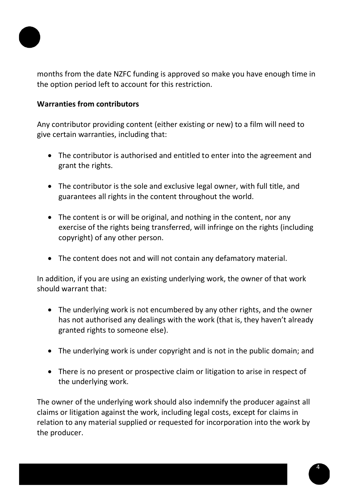

months from the date NZFC funding is approved so make you have enough time in the option period left to account for this restriction.

## **Warranties from contributors**

Any contributor providing content (either existing or new) to a film will need to give certain warranties, including that:

- The contributor is authorised and entitled to enter into the agreement and grant the rights.
- The contributor is the sole and exclusive legal owner, with full title, and guarantees all rights in the content throughout the world.
- The content is or will be original, and nothing in the content, nor any exercise of the rights being transferred, will infringe on the rights (including copyright) of any other person.
- The content does not and will not contain any defamatory material.

In addition, if you are using an existing underlying work, the owner of that work should warrant that:

- The underlying work is not encumbered by any other rights, and the owner has not authorised any dealings with the work (that is, they haven't already granted rights to someone else).
- The underlying work is under copyright and is not in the public domain; and
- There is no present or prospective claim or litigation to arise in respect of the underlying work.

The owner of the underlying work should also indemnify the producer against all claims or litigation against the work, including legal costs, except for claims in relation to any material supplied or requested for incorporation into the work by the producer.